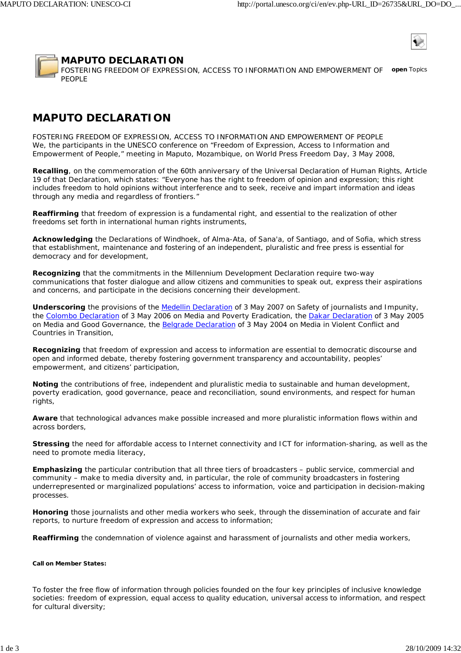

## **MAPUTO DECLARATION**

FOSTERING FREEDOM OF EXPRESSION, ACCESS TO INFORMATION AND EMPOWERMENT OF *open* Topics PEOPLE

# **MAPUTO DECLARATION**

FOSTERING FREEDOM OF EXPRESSION, ACCESS TO INFORMATION AND EMPOWERMENT OF PEOPLE We, the participants in the UNESCO conference on "Freedom of Expression, Access to Information and Empowerment of People," meeting in Maputo, Mozambique, on World Press Freedom Day, 3 May 2008,

**Recalling**, on the commemoration of the 60th anniversary of the Universal Declaration of Human Rights, Article 19 of that Declaration, which states: "Everyone has the right to freedom of opinion and expression; this right includes freedom to hold opinions without interference and to seek, receive and impart information and ideas through any media and regardless of frontiers."

**Reaffirming** that freedom of expression is a fundamental right, and essential to the realization of other freedoms set forth in international human rights instruments,

**Acknowledging** the Declarations of Windhoek, of Alma-Ata, of Sana'a, of Santiago, and of Sofia, which stress that establishment, maintenance and fostering of an independent, pluralistic and free press is essential for democracy and for development,

**Recognizing** that the commitments in the Millennium Development Declaration require two-way communications that foster dialogue and allow citizens and communities to speak out, express their aspirations and concerns, and participate in the decisions concerning their development.

**Underscoring** the provisions of the Medellin Declaration of 3 May 2007 on Safety of journalists and Impunity, the Colombo Declaration of 3 May 2006 on Media and Poverty Eradication, the Dakar Declaration of 3 May 2005 on Media and Good Governance, the Belgrade Declaration of 3 May 2004 on Media in Violent Conflict and Countries in Transition,

**Recognizing** that freedom of expression and access to information are essential to democratic discourse and open and informed debate, thereby fostering government transparency and accountability, peoples' empowerment, and citizens' participation,

**Noting** the contributions of free, independent and pluralistic media to sustainable and human development, poverty eradication, good governance, peace and reconciliation, sound environments, and respect for human rights,

**Aware** that technological advances make possible increased and more pluralistic information flows within and across borders,

**Stressing** the need for affordable access to Internet connectivity and ICT for information-sharing, as well as the need to promote media literacy,

**Emphasizing** the particular contribution that all three tiers of broadcasters – public service, commercial and community – make to media diversity and, in particular, the role of community broadcasters in fostering underrepresented or marginalized populations' access to information, voice and participation in decision-making processes.

**Honoring** those journalists and other media workers who seek, through the dissemination of accurate and fair reports, to nurture freedom of expression and access to information;

**Reaffirming** the condemnation of violence against and harassment of journalists and other media workers,

### **Call on Member States:**

To foster the free flow of information through policies founded on the four key principles of inclusive knowledge societies: freedom of expression, equal access to quality education, universal access to information, and respect for cultural diversity;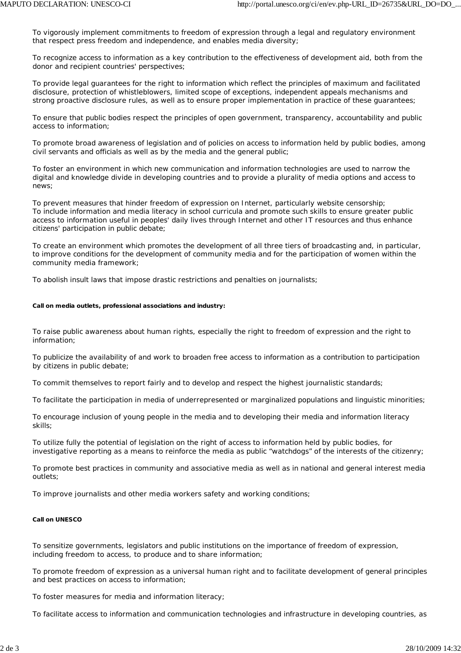To vigorously implement commitments to freedom of expression through a legal and regulatory environment that respect press freedom and independence, and enables media diversity;

To recognize access to information as a key contribution to the effectiveness of development aid, both from the donor and recipient countries' perspectives;

To provide legal guarantees for the right to information which reflect the principles of maximum and facilitated disclosure, protection of whistleblowers, limited scope of exceptions, independent appeals mechanisms and strong proactive disclosure rules, as well as to ensure proper implementation in practice of these guarantees;

To ensure that public bodies respect the principles of open government, transparency, accountability and public access to information;

To promote broad awareness of legislation and of policies on access to information held by public bodies, among civil servants and officials as well as by the media and the general public;

To foster an environment in which new communication and information technologies are used to narrow the digital and knowledge divide in developing countries and to provide a plurality of media options and access to news;

To prevent measures that hinder freedom of expression on Internet, particularly website censorship; To include information and media literacy in school curricula and promote such skills to ensure greater public access to information useful in peoples' daily lives through Internet and other IT resources and thus enhance citizens' participation in public debate;

To create an environment which promotes the development of all three tiers of broadcasting and, in particular, to improve conditions for the development of community media and for the participation of women within the community media framework;

To abolish insult laws that impose drastic restrictions and penalties on journalists;

### **Call on media outlets, professional associations and industry:**

To raise public awareness about human rights, especially the right to freedom of expression and the right to information;

To publicize the availability of and work to broaden free access to information as a contribution to participation by citizens in public debate;

To commit themselves to report fairly and to develop and respect the highest journalistic standards;

To facilitate the participation in media of underrepresented or marginalized populations and linguistic minorities;

To encourage inclusion of young people in the media and to developing their media and information literacy skills;

To utilize fully the potential of legislation on the right of access to information held by public bodies, for investigative reporting as a means to reinforce the media as public "watchdogs" of the interests of the citizenry;

To promote best practices in community and associative media as well as in national and general interest media outlets;

To improve journalists and other media workers safety and working conditions;

### **Call on UNESCO**

To sensitize governments, legislators and public institutions on the importance of freedom of expression, including freedom to access, to produce and to share information;

To promote freedom of expression as a universal human right and to facilitate development of general principles and best practices on access to information;

To foster measures for media and information literacy;

To facilitate access to information and communication technologies and infrastructure in developing countries, as